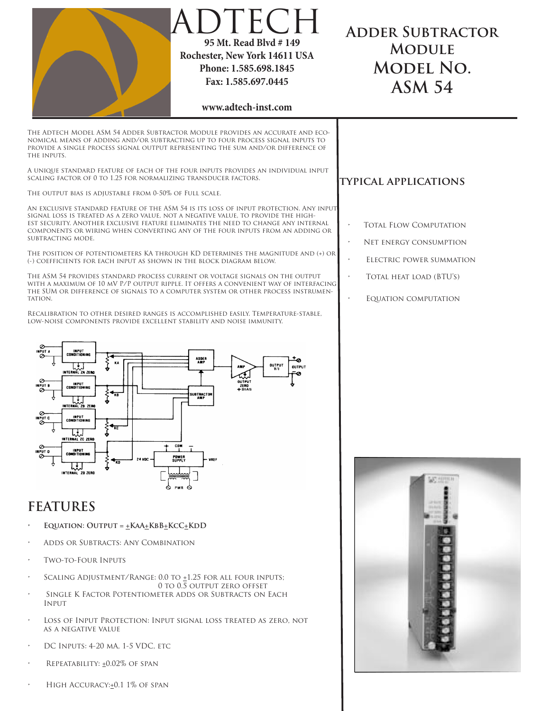| DTECH<br>95 Mt. Read Blvd #149<br>Rochester, New York 14611 USA<br>Phone: 1.585.698.1845<br>Fax: 1.585.697.0445<br>www.adtech-inst.com                                                                                                                                                                                                                                                                                                                                                                                                                                                                                                                                                                                                                                                                                                                                                                                                                                                                                                                                                                           | <b>ADDER SUBTRACTOR</b><br><b>MODULE</b><br><b>MODEL NO.</b><br><b>ASM 54</b> |
|------------------------------------------------------------------------------------------------------------------------------------------------------------------------------------------------------------------------------------------------------------------------------------------------------------------------------------------------------------------------------------------------------------------------------------------------------------------------------------------------------------------------------------------------------------------------------------------------------------------------------------------------------------------------------------------------------------------------------------------------------------------------------------------------------------------------------------------------------------------------------------------------------------------------------------------------------------------------------------------------------------------------------------------------------------------------------------------------------------------|-------------------------------------------------------------------------------|
| THE ADTECH MODEL ASM 54 ADDER SUBTRACTOR MODULE PROVIDES AN ACCURATE AND ECO-<br>NOMICAL MEANS OF ADDING AND/OR SUBTRACTING UP TO FOUR PROCESS SIGNAL INPUTS TO<br>PROVIDE A SINGLE PROCESS SIGNAL OUTPUT REPRESENTING THE SUM AND/OR DIFFERENCE OF<br>THE INPUTS.                                                                                                                                                                                                                                                                                                                                                                                                                                                                                                                                                                                                                                                                                                                                                                                                                                               |                                                                               |
| A UNIQUE STANDARD FEATURE OF EACH OF THE FOUR INPUTS PROVIDES AN INDIVIDUAL INPUT<br>SCALING FACTOR OF 0 TO 1.25 FOR NORMALIZING TRANSDUCER FACTORS.<br>THE OUTPUT BIAS IS ADJUSTABLE FROM 0-50% OF FULL SCALE.                                                                                                                                                                                                                                                                                                                                                                                                                                                                                                                                                                                                                                                                                                                                                                                                                                                                                                  | <b>TYPICAL APPLICATIONS</b>                                                   |
| AN EXCLUSIVE STANDARD FEATURE OF THE ASM 54 IS ITS LOSS OF INPUT PROTECTION. ANY INPUT<br>SIGNAL LOSS IS TREATED AS A ZERO VALUE, NOT A NEGATIVE VALUE, TO PROVIDE THE HIGH-<br>EST SECURITY. ANOTHER EXCLUSIVE FEATURE ELIMINATES THE NEED TO CHANGE ANY INTERNAL<br>COMPONENTS OR WIRING WHEN CONVERTING ANY OF THE FOUR INPUTS FROM AN ADDING OR<br>SUBTRACTING MODE.                                                                                                                                                                                                                                                                                                                                                                                                                                                                                                                                                                                                                                                                                                                                         | <b>TOTAL FLOW COMPUTATION</b><br>NET ENERGY CONSUMPTION                       |
| THE POSITION OF POTENTIOMETERS KA THROUGH KD DETERMINES THE MAGNITUDE AND (+) OR<br>(-) COEFFICIENTS FOR EACH INPUT AS SHOWN IN THE BLOCK DIAGRAM BELOW.<br>The ASM 54 provides standard process current or voltage signals on the output<br>with a maximum of 10 mV P/P output ripple. It offers a convenient way of interfacing<br>THE SUM OR DIFFERENCE OF SIGNALS TO A COMPUTER SYSTEM OR OTHER PROCESS INSTRUMEN-<br>TATION.<br>RECALIBRATION TO OTHER DESIRED RANGES IS ACCOMPLISHED EASILY. TEMPERATURE-STABLE,<br>LOW-NOISE COMPONENTS PROVIDE EXCELLENT STABILITY AND NOISE IMMUNITY.<br>INPUT<br>CONDITIONING<br><b>INPUT A</b><br><b>ADDER</b><br>AMP<br><b>OUTPUT</b><br>INTERNAL ZA ZERO<br><b>OUTPUT</b><br>V/I<br>DUTPU'<br><b>INPUT</b><br><b>INPUT B</b><br><b>ZERO</b><br><b>CONDITIONING</b><br>∽<br>SUBTRACTOR<br>AMP<br>INTERNAL ZB ZERO<br>o-<br><b>IMPLIT</b><br>INPUT C<br><b>CONDITIONING</b><br>$\triangleleft_{\overline{\text{KC}}}$<br>INTERNAL ZC ZERO<br>COM<br>Ø<br><b>INPUT</b><br>INPUT O<br><b>CONDITIONING</b><br>Ø<br>POWER<br><b>24 VDC</b><br>VREF<br><b>SUPPLY</b><br>KD | ELECTRIC POWER SUMMATION<br>TOTAL HEAT LOAD (BTU'S)<br>EQUATION COMPUTATION   |
| ₩<br>INTERNAL ZD ZERO<br>PWR<br><b>FEATURES</b><br>EQUATION: OUTPUT = $\pm$ KAA $\pm$ KBB $\pm$ KCC $\pm$ KDD<br>ADDS OR SUBTRACTS: ANY COMBINATION<br><b>TWO-TO-FOUR INPUTS</b><br>SCALING ADJUSTMENT/RANGE: 0.0 TO $\pm 1.25$ for all four inputs;<br>0 TO 0.5 OUTPUT ZERO OFFSET<br>SINGLE K FACTOR POTENTIOMETER ADDS OR SUBTRACTS ON EACH<br><b>INPUT</b>                                                                                                                                                                                                                                                                                                                                                                                                                                                                                                                                                                                                                                                                                                                                                   | <b>PERINTIN</b>                                                               |

- • Loss of Input Protection: Input signal loss treated as zero, not as a negative value
- • DC Inputs: 4-20 mA, 1-5 VDC, etc
- $\cdot$  REPEATABILITY:  $\pm 0.02\%$  OF SPAN
- HIGH ACCURACY:±0.1 1% OF SPAN